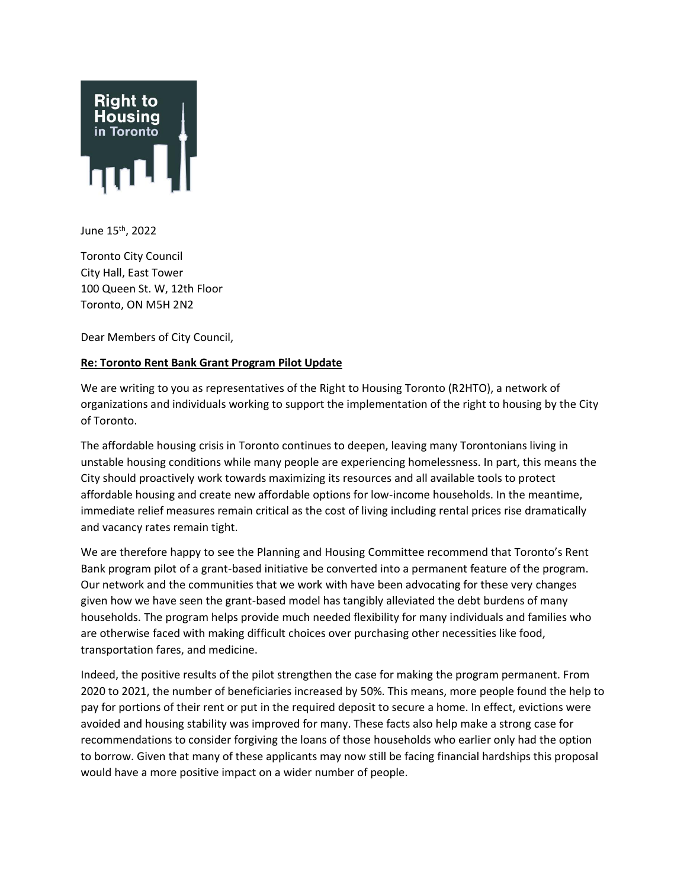

June 15th, 2022

Toronto City Council City Hall, East Tower 100 Queen St. W, 12th Floor Toronto, ON M5H 2N2

Dear Members of City Council,

## **Re: Toronto Rent Bank Grant Program Pilot Update**

We are writing to you as representatives of the Right to Housing Toronto (R2HTO), a network of organizations and individuals working to support the implementation of the right to housing by the City of Toronto.

The affordable housing crisis in Toronto continues to deepen, leaving many Torontonians living in unstable housing conditions while many people are experiencing homelessness. In part, this means the City should proactively work towards maximizing its resources and all available tools to protect affordable housing and create new affordable options for low-income households. In the meantime, immediate relief measures remain critical as the cost of living including rental prices rise dramatically and vacancy rates remain tight.

We are therefore happy to see the Planning and Housing Committee recommend that Toronto's Rent Bank program pilot of a grant-based initiative be converted into a permanent feature of the program. Our network and the communities that we work with have been advocating for these very changes given how we have seen the grant-based model has tangibly alleviated the debt burdens of many households. The program helps provide much needed flexibility for many individuals and families who are otherwise faced with making difficult choices over purchasing other necessities like food, transportation fares, and medicine.

Indeed, the positive results of the pilot strengthen the case for making the program permanent. From 2020 to 2021, the number of beneficiaries increased by 50%. This means, more people found the help to pay for portions of their rent or put in the required deposit to secure a home. In effect, evictions were avoided and housing stability was improved for many. These facts also help make a strong case for recommendations to consider forgiving the loans of those households who earlier only had the option to borrow. Given that many of these applicants may now still be facing financial hardships this proposal would have a more positive impact on a wider number of people.